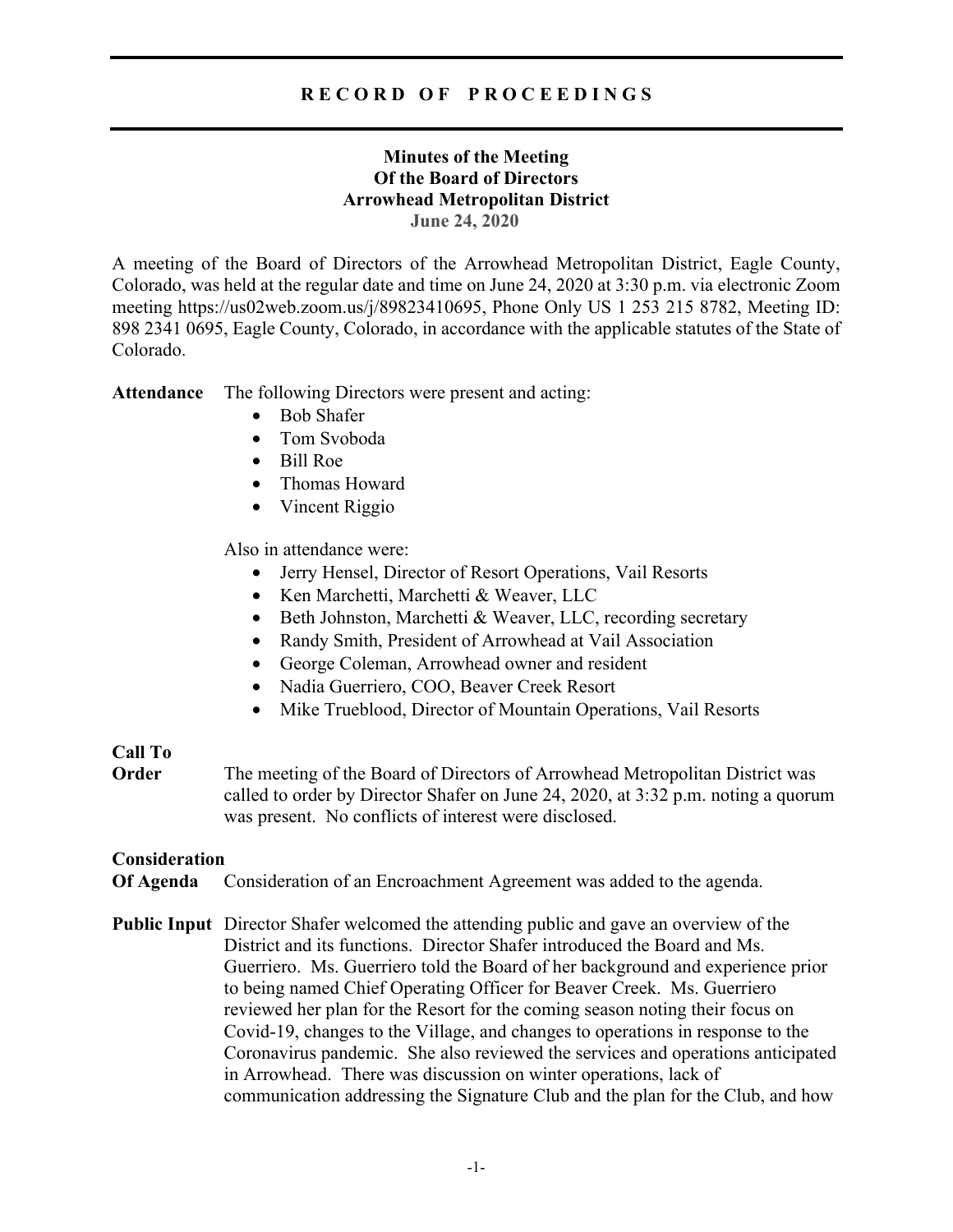#### **Minutes of the Meeting Of the Board of Directors Arrowhead Metropolitan District June 24, 2020**

A meeting of the Board of Directors of the Arrowhead Metropolitan District, Eagle County, Colorado, was held at the regular date and time on June 24, 2020 at 3:30 p.m. via electronic Zoom meeting https://us02web.zoom.us/j/89823410695, Phone Only US 1 253 215 8782, Meeting ID: 898 2341 0695, Eagle County, Colorado, in accordance with the applicable statutes of the State of Colorado.

**Attendance** The following Directors were present and acting:

- Bob Shafer
- Tom Svoboda
- Bill Roe
- Thomas Howard
- Vincent Riggio

Also in attendance were:

- Jerry Hensel, Director of Resort Operations, Vail Resorts
- Ken Marchetti, Marchetti & Weaver, LLC
- Beth Johnston, Marchetti & Weaver, LLC, recording secretary
- Randy Smith, President of Arrowhead at Vail Association
- George Coleman, Arrowhead owner and resident
- Nadia Guerriero, COO, Beaver Creek Resort
- Mike Trueblood, Director of Mountain Operations, Vail Resorts

## **Call To**

**Order** The meeting of the Board of Directors of Arrowhead Metropolitan District was called to order by Director Shafer on June 24, 2020, at 3:32 p.m. noting a quorum was present. No conflicts of interest were disclosed.

#### **Consideration**

**Of Agenda** Consideration of an Encroachment Agreement was added to the agenda.

**Public Input** Director Shafer welcomed the attending public and gave an overview of the District and its functions. Director Shafer introduced the Board and Ms. Guerriero. Ms. Guerriero told the Board of her background and experience prior to being named Chief Operating Officer for Beaver Creek. Ms. Guerriero reviewed her plan for the Resort for the coming season noting their focus on Covid-19, changes to the Village, and changes to operations in response to the Coronavirus pandemic. She also reviewed the services and operations anticipated in Arrowhead. There was discussion on winter operations, lack of communication addressing the Signature Club and the plan for the Club, and how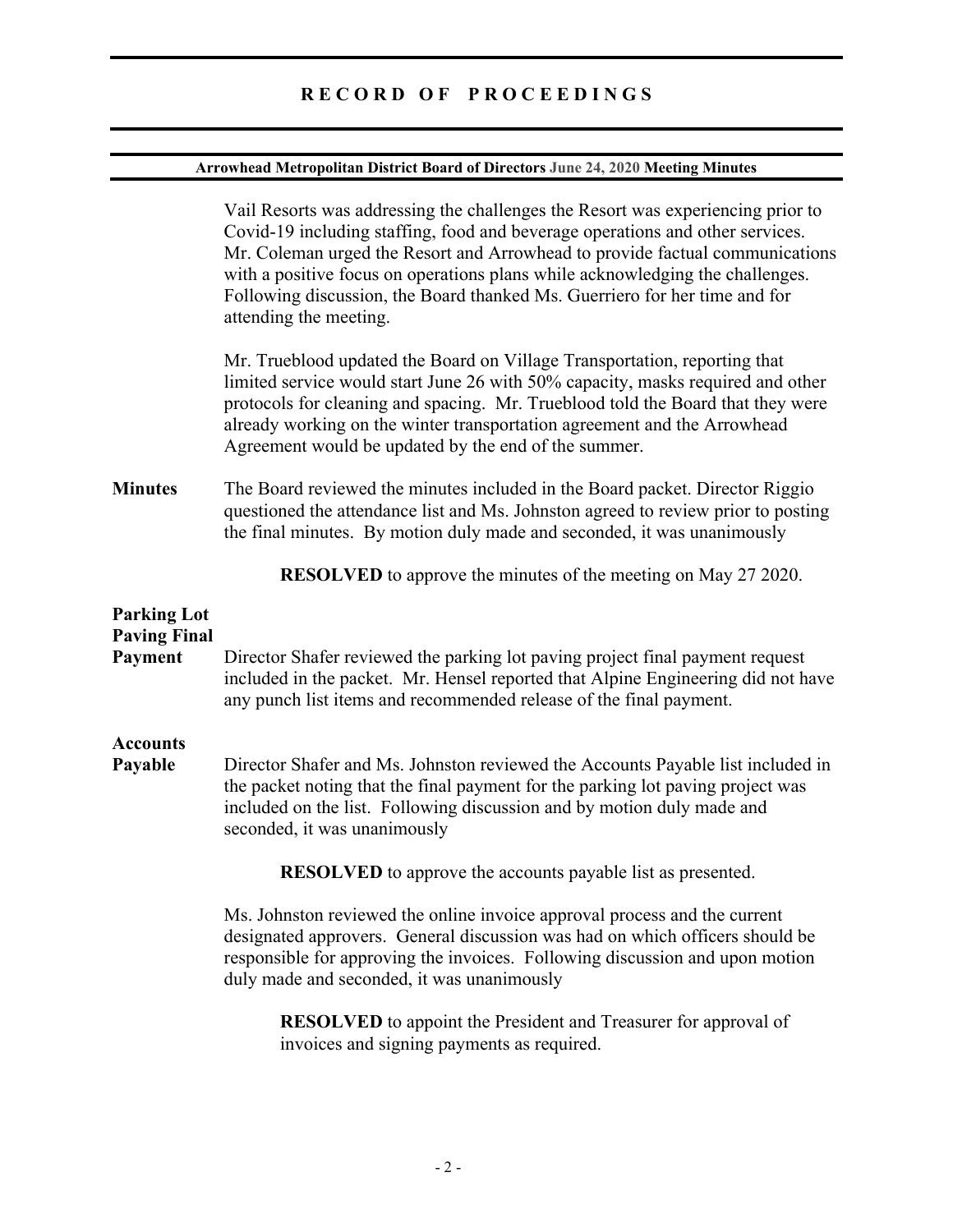# **Arrowhead Metropolitan District Board of Directors June 24, 2020 Meeting Minutes**

|                                                      | Vail Resorts was addressing the challenges the Resort was experiencing prior to<br>Covid-19 including staffing, food and beverage operations and other services.<br>Mr. Coleman urged the Resort and Arrowhead to provide factual communications<br>with a positive focus on operations plans while acknowledging the challenges.<br>Following discussion, the Board thanked Ms. Guerriero for her time and for<br>attending the meeting. |
|------------------------------------------------------|-------------------------------------------------------------------------------------------------------------------------------------------------------------------------------------------------------------------------------------------------------------------------------------------------------------------------------------------------------------------------------------------------------------------------------------------|
|                                                      | Mr. Trueblood updated the Board on Village Transportation, reporting that<br>limited service would start June 26 with 50% capacity, masks required and other<br>protocols for cleaning and spacing. Mr. Trueblood told the Board that they were<br>already working on the winter transportation agreement and the Arrowhead<br>Agreement would be updated by the end of the summer.                                                       |
| <b>Minutes</b>                                       | The Board reviewed the minutes included in the Board packet. Director Riggio<br>questioned the attendance list and Ms. Johnston agreed to review prior to posting<br>the final minutes. By motion duly made and seconded, it was unanimously                                                                                                                                                                                              |
|                                                      | <b>RESOLVED</b> to approve the minutes of the meeting on May 27 2020.                                                                                                                                                                                                                                                                                                                                                                     |
| <b>Parking Lot</b><br><b>Paving Final</b><br>Payment | Director Shafer reviewed the parking lot paving project final payment request<br>included in the packet. Mr. Hensel reported that Alpine Engineering did not have<br>any punch list items and recommended release of the final payment.                                                                                                                                                                                                   |
| <b>Accounts</b><br>Payable                           | Director Shafer and Ms. Johnston reviewed the Accounts Payable list included in<br>the packet noting that the final payment for the parking lot paving project was<br>included on the list. Following discussion and by motion duly made and<br>seconded, it was unanimously                                                                                                                                                              |
|                                                      | <b>RESOLVED</b> to approve the accounts payable list as presented.                                                                                                                                                                                                                                                                                                                                                                        |
|                                                      | Ms. Johnston reviewed the online invoice approval process and the current<br>designated approvers. General discussion was had on which officers should be<br>responsible for approving the invoices. Following discussion and upon motion<br>duly made and seconded, it was unanimously                                                                                                                                                   |
|                                                      | <b>RESOLVED</b> to appoint the President and Treasurer for approval of<br>invoices and signing payments as required.                                                                                                                                                                                                                                                                                                                      |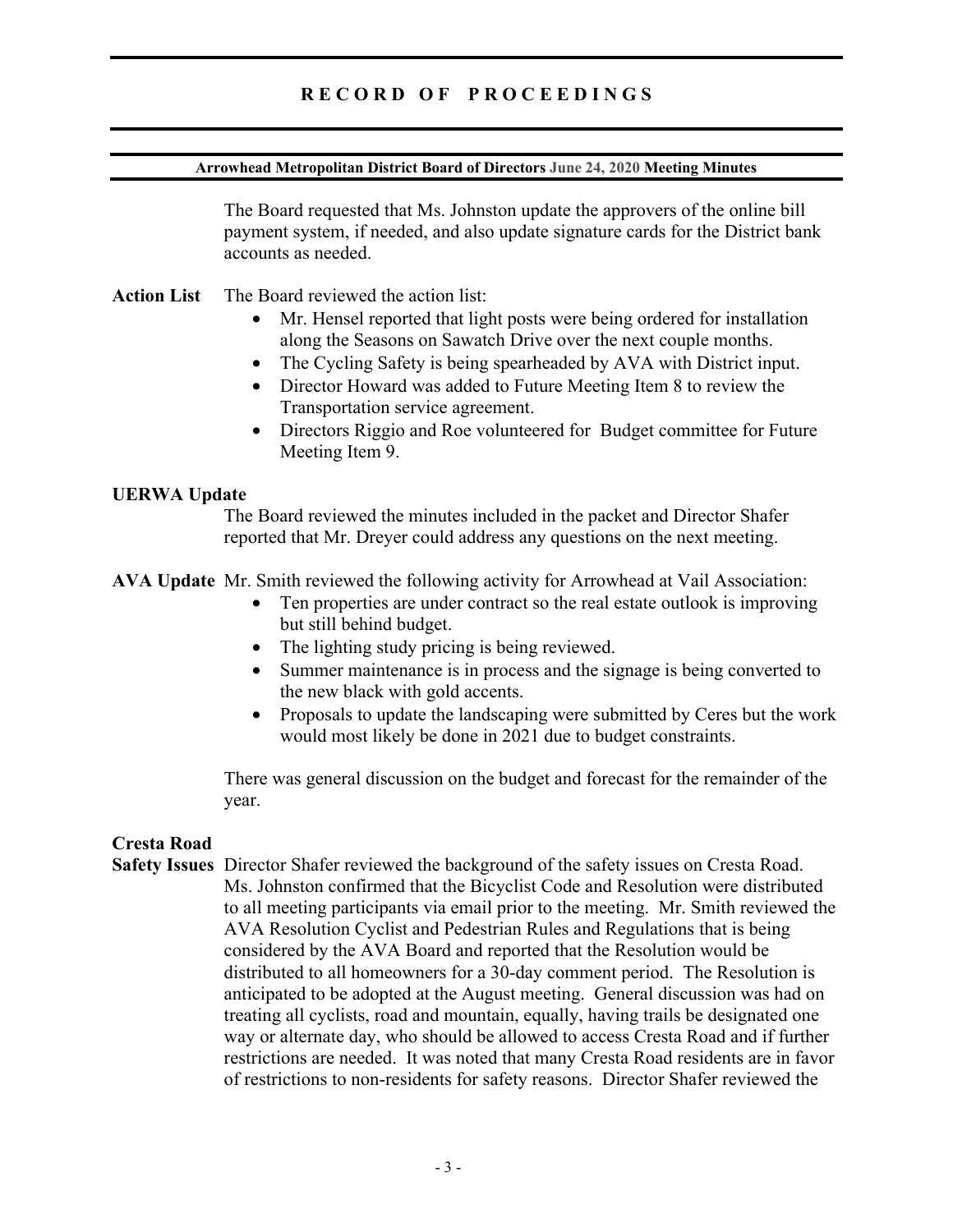#### **Arrowhead Metropolitan District Board of Directors June 24, 2020 Meeting Minutes**

 The Board requested that Ms. Johnston update the approvers of the online bill payment system, if needed, and also update signature cards for the District bank accounts as needed.

- **Action List** The Board reviewed the action list:
	- Mr. Hensel reported that light posts were being ordered for installation along the Seasons on Sawatch Drive over the next couple months.
	- The Cycling Safety is being spearheaded by AVA with District input.
	- Director Howard was added to Future Meeting Item 8 to review the Transportation service agreement.
	- Directors Riggio and Roe volunteered for Budget committee for Future Meeting Item 9.

#### **UERWA Update**

The Board reviewed the minutes included in the packet and Director Shafer reported that Mr. Dreyer could address any questions on the next meeting.

**AVA Update** Mr. Smith reviewed the following activity for Arrowhead at Vail Association:

- Ten properties are under contract so the real estate outlook is improving but still behind budget.
- The lighting study pricing is being reviewed.
- Summer maintenance is in process and the signage is being converted to the new black with gold accents.
- Proposals to update the landscaping were submitted by Ceres but the work would most likely be done in 2021 due to budget constraints.

There was general discussion on the budget and forecast for the remainder of the year.

## **Cresta Road**

**Safety Issues** Director Shafer reviewed the background of the safety issues on Cresta Road. Ms. Johnston confirmed that the Bicyclist Code and Resolution were distributed to all meeting participants via email prior to the meeting. Mr. Smith reviewed the AVA Resolution Cyclist and Pedestrian Rules and Regulations that is being considered by the AVA Board and reported that the Resolution would be distributed to all homeowners for a 30-day comment period. The Resolution is anticipated to be adopted at the August meeting. General discussion was had on treating all cyclists, road and mountain, equally, having trails be designated one way or alternate day, who should be allowed to access Cresta Road and if further restrictions are needed. It was noted that many Cresta Road residents are in favor of restrictions to non-residents for safety reasons. Director Shafer reviewed the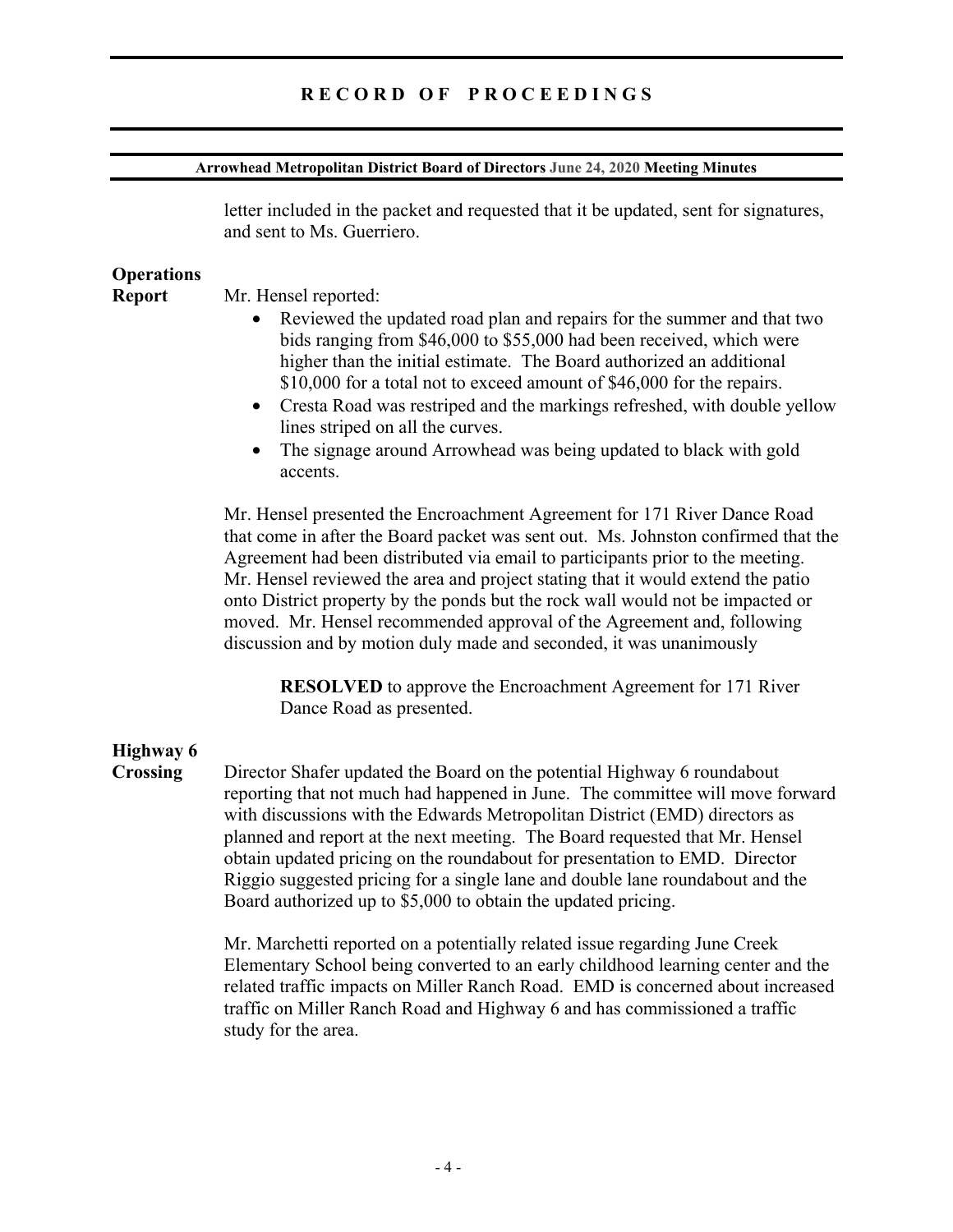#### **Arrowhead Metropolitan District Board of Directors June 24, 2020 Meeting Minutes**

letter included in the packet and requested that it be updated, sent for signatures, and sent to Ms. Guerriero.

#### **Operations**

**Report** Mr. Hensel reported:

- Reviewed the updated road plan and repairs for the summer and that two bids ranging from \$46,000 to \$55,000 had been received, which were higher than the initial estimate. The Board authorized an additional \$10,000 for a total not to exceed amount of \$46,000 for the repairs.
- Cresta Road was restriped and the markings refreshed, with double yellow lines striped on all the curves.
- The signage around Arrowhead was being updated to black with gold accents.

Mr. Hensel presented the Encroachment Agreement for 171 River Dance Road that come in after the Board packet was sent out. Ms. Johnston confirmed that the Agreement had been distributed via email to participants prior to the meeting. Mr. Hensel reviewed the area and project stating that it would extend the patio onto District property by the ponds but the rock wall would not be impacted or moved. Mr. Hensel recommended approval of the Agreement and, following discussion and by motion duly made and seconded, it was unanimously

**RESOLVED** to approve the Encroachment Agreement for 171 River Dance Road as presented.

# **Highway 6**

**Crossing** Director Shafer updated the Board on the potential Highway 6 roundabout reporting that not much had happened in June. The committee will move forward with discussions with the Edwards Metropolitan District (EMD) directors as planned and report at the next meeting. The Board requested that Mr. Hensel obtain updated pricing on the roundabout for presentation to EMD. Director Riggio suggested pricing for a single lane and double lane roundabout and the Board authorized up to \$5,000 to obtain the updated pricing.

> Mr. Marchetti reported on a potentially related issue regarding June Creek Elementary School being converted to an early childhood learning center and the related traffic impacts on Miller Ranch Road. EMD is concerned about increased traffic on Miller Ranch Road and Highway 6 and has commissioned a traffic study for the area.